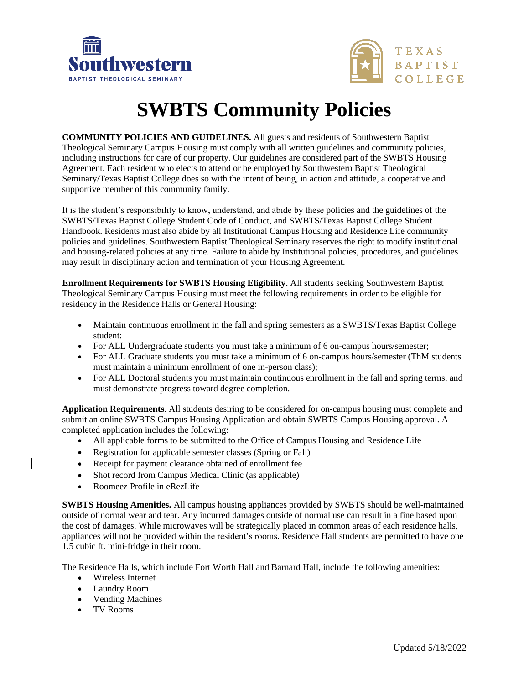



# **SWBTS Community Policies**

**COMMUNITY POLICIES AND GUIDELINES.** All guests and residents of Southwestern Baptist Theological Seminary Campus Housing must comply with all written guidelines and community policies, including instructions for care of our property. Our guidelines are considered part of the SWBTS Housing Agreement. Each resident who elects to attend or be employed by Southwestern Baptist Theological Seminary/Texas Baptist College does so with the intent of being, in action and attitude, a cooperative and supportive member of this community family.

It is the student's responsibility to know, understand, and abide by these policies and the guidelines of the SWBTS/Texas Baptist College Student Code of Conduct, and SWBTS/Texas Baptist College Student Handbook. Residents must also abide by all Institutional Campus Housing and Residence Life community policies and guidelines. Southwestern Baptist Theological Seminary reserves the right to modify institutional and housing-related policies at any time. Failure to abide by Institutional policies, procedures, and guidelines may result in disciplinary action and termination of your Housing Agreement.

**Enrollment Requirements for SWBTS Housing Eligibility.** All students seeking Southwestern Baptist Theological Seminary Campus Housing must meet the following requirements in order to be eligible for residency in the Residence Halls or General Housing:

- Maintain continuous enrollment in the fall and spring semesters as a SWBTS/Texas Baptist College student:
- For ALL Undergraduate students you must take a minimum of 6 on-campus hours/semester;
- For ALL Graduate students you must take a minimum of 6 on-campus hours/semester (ThM students must maintain a minimum enrollment of one in-person class);
- For ALL Doctoral students you must maintain continuous enrollment in the fall and spring terms, and must demonstrate progress toward degree completion.

**Application Requirements**. All students desiring to be considered for on-campus housing must complete and submit an online SWBTS Campus Housing Application and obtain SWBTS Campus Housing approval. A completed application includes the following:

- All applicable forms to be submitted to the Office of Campus Housing and Residence Life
- Registration for applicable semester classes (Spring or Fall)
- Receipt for payment clearance obtained of enrollment fee
- Shot record from Campus Medical Clinic (as applicable)
- Roomeez Profile in eRezLife

**SWBTS Housing Amenities.** All campus housing appliances provided by SWBTS should be well-maintained outside of normal wear and tear. Any incurred damages outside of normal use can result in a fine based upon the cost of damages. While microwaves will be strategically placed in common areas of each residence halls, appliances will not be provided within the resident's rooms. Residence Hall students are permitted to have one 1.5 cubic ft. mini-fridge in their room.

The Residence Halls, which include Fort Worth Hall and Barnard Hall, include the following amenities:

- Wireless Internet
- Laundry Room
- Vending Machines
- TV Rooms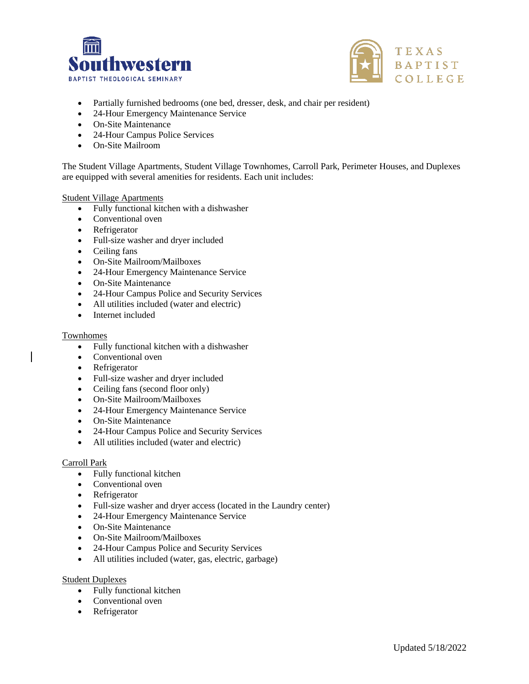



- Partially furnished bedrooms (one bed, dresser, desk, and chair per resident)
- 24-Hour Emergency Maintenance Service
- On-Site Maintenance
- 24-Hour Campus Police Services
- On-Site Mailroom

The Student Village Apartments, Student Village Townhomes, Carroll Park, Perimeter Houses, and Duplexes are equipped with several amenities for residents. Each unit includes:

#### Student Village Apartments

- Fully functional kitchen with a dishwasher
- Conventional oven
- Refrigerator
- Full-size washer and dryer included
- Ceiling fans
- On-Site Mailroom/Mailboxes
- 24-Hour Emergency Maintenance Service
- On-Site Maintenance
- 24-Hour Campus Police and Security Services
- All utilities included (water and electric)
- Internet included

## Townhomes

- Fully functional kitchen with a dishwasher
- Conventional oven
- Refrigerator
- Full-size washer and dryer included
- Ceiling fans (second floor only)
- On-Site Mailroom/Mailboxes
- 24-Hour Emergency Maintenance Service
- On-Site Maintenance
- 24-Hour Campus Police and Security Services
- All utilities included (water and electric)

## Carroll Park

- Fully functional kitchen
- Conventional oven
- Refrigerator
- Full-size washer and dryer access (located in the Laundry center)
- 24-Hour Emergency Maintenance Service
- On-Site Maintenance
- On-Site Mailroom/Mailboxes
- 24-Hour Campus Police and Security Services
- All utilities included (water, gas, electric, garbage)

Student Duplexes

- Fully functional kitchen
- Conventional oven
- Refrigerator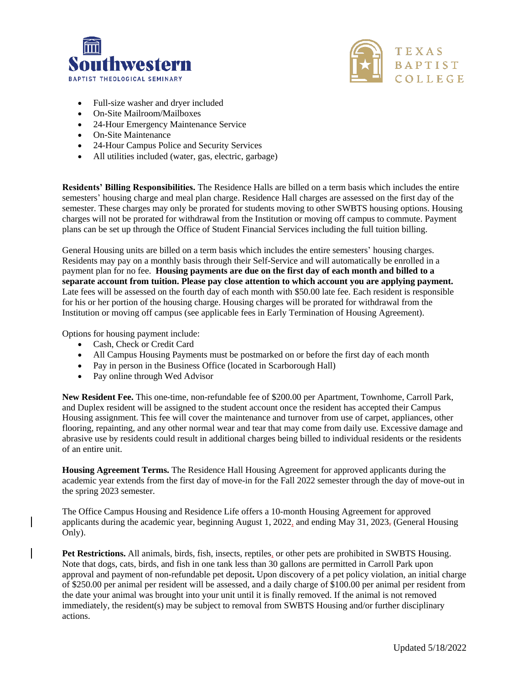



- Full-size washer and dryer included
- On-Site Mailroom/Mailboxes
- 24-Hour Emergency Maintenance Service
- On-Site Maintenance
- 24-Hour Campus Police and Security Services
- All utilities included (water, gas, electric, garbage)

**Residents' Billing Responsibilities.** The Residence Halls are billed on a term basis which includes the entire semesters' housing charge and meal plan charge. Residence Hall charges are assessed on the first day of the semester. These charges may only be prorated for students moving to other SWBTS housing options. Housing charges will not be prorated for withdrawal from the Institution or moving off campus to commute. Payment plans can be set up through the Office of Student Financial Services including the full tuition billing.

General Housing units are billed on a term basis which includes the entire semesters' housing charges. Residents may pay on a monthly basis through their Self-Service and will automatically be enrolled in a payment plan for no fee. **Housing payments are due on the first day of each month and billed to a separate account from tuition. Please pay close attention to which account you are applying payment.**  Late fees will be assessed on the fourth day of each month with \$50.00 late fee. Each resident is responsible for his or her portion of the housing charge. Housing charges will be prorated for withdrawal from the Institution or moving off campus (see applicable fees in Early Termination of Housing Agreement).

Options for housing payment include:

- Cash, Check or Credit Card
- All Campus Housing Payments must be postmarked on or before the first day of each month
- Pay in person in the Business Office (located in Scarborough Hall)
- Pay online through Wed Advisor

**New Resident Fee.** This one-time, non-refundable fee of \$200.00 per Apartment, Townhome, Carroll Park, and Duplex resident will be assigned to the student account once the resident has accepted their Campus Housing assignment. This fee will cover the maintenance and turnover from use of carpet, appliances, other flooring, repainting, and any other normal wear and tear that may come from daily use. Excessive damage and abrasive use by residents could result in additional charges being billed to individual residents or the residents of an entire unit.

**Housing Agreement Terms.** The Residence Hall Housing Agreement for approved applicants during the academic year extends from the first day of move-in for the Fall 2022 semester through the day of move-out in the spring 2023 semester.

The Office Campus Housing and Residence Life offers a 10-month Housing Agreement for approved applicants during the academic year, beginning August 1, 2022, and ending May 31, 2023, (General Housing Only).

**Pet Restrictions.** All animals, birds, fish, insects, reptiles, or other pets are prohibited in SWBTS Housing. Note that dogs, cats, birds, and fish in one tank less than 30 gallons are permitted in Carroll Park upon approval and payment of non-refundable pet deposit**.** Upon discovery of a pet policy violation, an initial charge of \$250.00 per animal per resident will be assessed, and a daily charge of \$100.00 per animal per resident from the date your animal was brought into your unit until it is finally removed. If the animal is not removed immediately, the resident(s) may be subject to removal from SWBTS Housing and/or further disciplinary actions.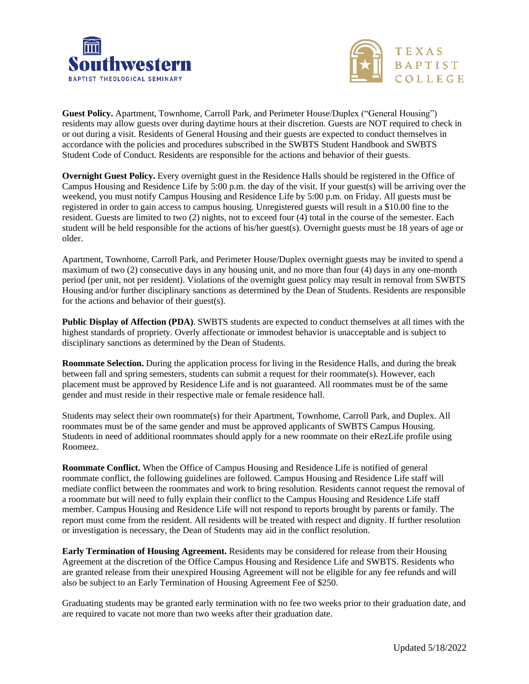



**Guest Policy.** Apartment, Townhome, Carroll Park, and Perimeter House/Duplex ("General Housing") residents may allow guests over during daytime hours at their discretion. Guests are NOT required to check in or out during a visit. Residents of General Housing and their guests are expected to conduct themselves in accordance with the policies and procedures subscribed in the SWBTS Student Handbook and SWBTS Student Code of Conduct. Residents are responsible for the actions and behavior of their guests.

**Overnight Guest Policy.** Every overnight guest in the Residence Halls should be registered in the Office of Campus Housing and Residence Life by 5:00 p.m. the day of the visit. If your guest(s) will be arriving over the weekend, you must notify Campus Housing and Residence Life by 5:00 p.m. on Friday. All guests must be registered in order to gain access to campus housing. Unregistered guests will result in a \$10.00 fine to the resident. Guests are limited to two (2) nights, not to exceed four (4) total in the course of the semester. Each student will be held responsible for the actions of his/her guest(s). Overnight guests must be 18 years of age or older.

Apartment, Townhome, Carroll Park, and Perimeter House/Duplex overnight guests may be invited to spend a maximum of two (2) consecutive days in any housing unit, and no more than four (4) days in any one-month period (per unit, not per resident). Violations of the overnight guest policy may result in removal from SWBTS Housing and/or further disciplinary sanctions as determined by the Dean of Students. Residents are responsible for the actions and behavior of their guest(s).

**Public Display of Affection (PDA)**. SWBTS students are expected to conduct themselves at all times with the highest standards of propriety. Overly affectionate or immodest behavior is unacceptable and is subject to disciplinary sanctions as determined by the Dean of Students.

**Roommate Selection.** During the application process for living in the Residence Halls, and during the break between fall and spring semesters, students can submit a request for their roommate(s). However, each placement must be approved by Residence Life and is not guaranteed. All roommates must be of the same gender and must reside in their respective male or female residence hall.

Students may select their own roommate(s) for their Apartment, Townhome, Carroll Park, and Duplex. All roommates must be of the same gender and must be approved applicants of SWBTS Campus Housing. Students in need of additional roommates should apply for a new roommate on their eRezLife profile using Roomeez.

**Roommate Conflict.** When the Office of Campus Housing and Residence Life is notified of general roommate conflict, the following guidelines are followed. Campus Housing and Residence Life staff will mediate conflict between the roommates and work to bring resolution. Residents cannot request the removal of a roommate but will need to fully explain their conflict to the Campus Housing and Residence Life staff member. Campus Housing and Residence Life will not respond to reports brought by parents or family. The report must come from the resident. All residents will be treated with respect and dignity. If further resolution or investigation is necessary, the Dean of Students may aid in the conflict resolution.

**Early Termination of Housing Agreement.** Residents may be considered for release from their Housing Agreement at the discretion of the Office Campus Housing and Residence Life and SWBTS. Residents who are granted release from their unexpired Housing Agreement will not be eligible for any fee refunds and will also be subject to an Early Termination of Housing Agreement Fee of \$250.

Graduating students may be granted early termination with no fee two weeks prior to their graduation date, and are required to vacate not more than two weeks after their graduation date.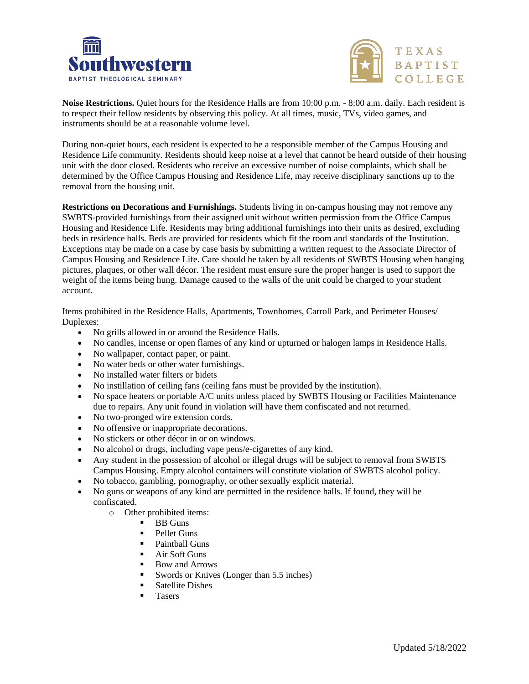



**Noise Restrictions.** Quiet hours for the Residence Halls are from 10:00 p.m. - 8:00 a.m. daily. Each resident is to respect their fellow residents by observing this policy. At all times, music, TVs, video games, and instruments should be at a reasonable volume level.

During non-quiet hours, each resident is expected to be a responsible member of the Campus Housing and Residence Life community. Residents should keep noise at a level that cannot be heard outside of their housing unit with the door closed. Residents who receive an excessive number of noise complaints, which shall be determined by the Office Campus Housing and Residence Life, may receive disciplinary sanctions up to the removal from the housing unit.

**Restrictions on Decorations and Furnishings.** Students living in on-campus housing may not remove any SWBTS-provided furnishings from their assigned unit without written permission from the Office Campus Housing and Residence Life. Residents may bring additional furnishings into their units as desired, excluding beds in residence halls. Beds are provided for residents which fit the room and standards of the Institution. Exceptions may be made on a case by case basis by submitting a written request to the Associate Director of Campus Housing and Residence Life. Care should be taken by all residents of SWBTS Housing when hanging pictures, plaques, or other wall décor. The resident must ensure sure the proper hanger is used to support the weight of the items being hung. Damage caused to the walls of the unit could be charged to your student account.

Items prohibited in the Residence Halls, Apartments, Townhomes, Carroll Park, and Perimeter Houses/ Duplexes:

- No grills allowed in or around the Residence Halls.
- No candles, incense or open flames of any kind or upturned or halogen lamps in Residence Halls.
- No wallpaper, contact paper, or paint.
- No water beds or other water furnishings.
- No installed water filters or bidets
- No instillation of ceiling fans (ceiling fans must be provided by the institution).
- No space heaters or portable A/C units unless placed by SWBTS Housing or Facilities Maintenance due to repairs. Any unit found in violation will have them confiscated and not returned.
- No two-pronged wire extension cords.
- No offensive or inappropriate decorations.
- No stickers or other décor in or on windows.
- No alcohol or drugs, including vape pens/e-cigarettes of any kind.
- Any student in the possession of alcohol or illegal drugs will be subject to removal from SWBTS Campus Housing. Empty alcohol containers will constitute violation of SWBTS alcohol policy.
- No tobacco, gambling, pornography, or other sexually explicit material.
- No guns or weapons of any kind are permitted in the residence halls. If found, they will be confiscated.
	- o Other prohibited items:
		- **BB Guns**
		- Pellet Guns
		- Paintball Guns
		- **E** Air Soft Guns
		- Bow and Arrows
		- Swords or Knives (Longer than 5.5 inches)
		- Satellite Dishes
		- **Tasers**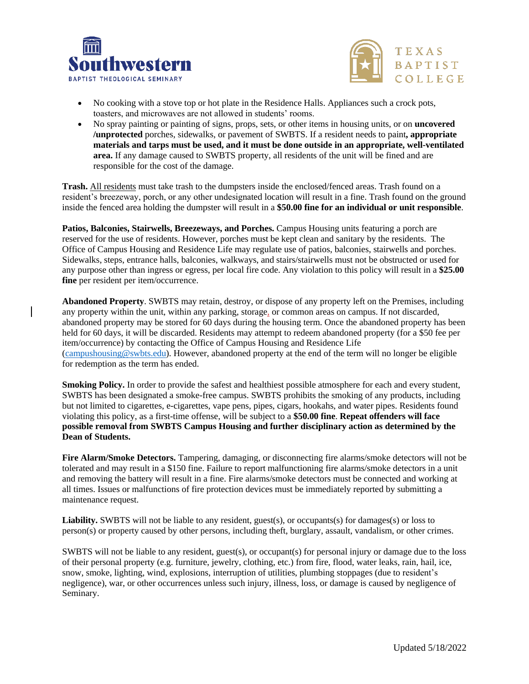



- No cooking with a stove top or hot plate in the Residence Halls. Appliances such a crock pots, toasters, and microwaves are not allowed in students' rooms.
- No spray painting or painting of signs, props, sets, or other items in housing units, or on **uncovered /unprotected** porches, sidewalks, or pavement of SWBTS. If a resident needs to paint**, appropriate materials and tarps must be used, and it must be done outside in an appropriate, well-ventilated area.** If any damage caused to SWBTS property, all residents of the unit will be fined and are responsible for the cost of the damage.

**Trash.** All residents must take trash to the dumpsters inside the enclosed/fenced areas. Trash found on a resident's breezeway, porch, or any other undesignated location will result in a fine. Trash found on the ground inside the fenced area holding the dumpster will result in a **\$50.00 fine for an individual or unit responsible**.

**Patios, Balconies, Stairwells, Breezeways, and Porches.** Campus Housing units featuring a porch are reserved for the use of residents. However, porches must be kept clean and sanitary by the residents. The Office of Campus Housing and Residence Life may regulate use of patios, balconies, stairwells and porches. Sidewalks, steps, entrance halls, balconies, walkways, and stairs/stairwells must not be obstructed or used for any purpose other than ingress or egress, per local fire code. Any violation to this policy will result in a **\$25.00 fine** per resident per item/occurrence.

**Abandoned Property**. SWBTS may retain, destroy, or dispose of any property left on the Premises, including any property within the unit, within any parking, storage, or common areas on campus. If not discarded, abandoned property may be stored for 60 days during the housing term. Once the abandoned property has been held for 60 days, it will be discarded. Residents may attempt to redeem abandoned property (for a \$50 fee per item/occurrence) by contacting the Office of Campus Housing and Residence Life [\(campushousing@swbts.edu\)](mailto:campushousing@swbts.edu). However, abandoned property at the end of the term will no longer be eligible for redemption as the term has ended.

**Smoking Policy.** In order to provide the safest and healthiest possible atmosphere for each and every student, SWBTS has been designated a smoke-free campus. SWBTS prohibits the smoking of any products, including but not limited to cigarettes, e-cigarettes, vape pens, pipes, cigars, hookahs, and water pipes. Residents found violating this policy, as a first-time offense, will be subject to a **\$50.00 fine**. **Repeat offenders will face possible removal from SWBTS Campus Housing and further disciplinary action as determined by the Dean of Students.** 

**Fire Alarm/Smoke Detectors.** Tampering, damaging, or disconnecting fire alarms/smoke detectors will not be tolerated and may result in a \$150 fine. Failure to report malfunctioning fire alarms/smoke detectors in a unit and removing the battery will result in a fine. Fire alarms/smoke detectors must be connected and working at all times. Issues or malfunctions of fire protection devices must be immediately reported by submitting a maintenance request.

**Liability.** SWBTS will not be liable to any resident, guest(s), or occupants(s) for damages(s) or loss to person(s) or property caused by other persons, including theft, burglary, assault, vandalism, or other crimes.

SWBTS will not be liable to any resident, guest(s), or occupant(s) for personal injury or damage due to the loss of their personal property (e.g. furniture, jewelry, clothing, etc.) from fire, flood, water leaks, rain, hail, ice, snow, smoke, lighting, wind, explosions, interruption of utilities, plumbing stoppages (due to resident's negligence), war, or other occurrences unless such injury, illness, loss, or damage is caused by negligence of Seminary.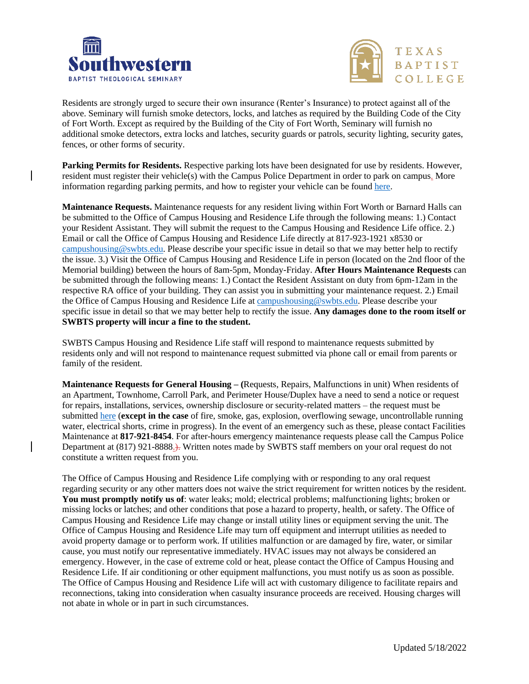



Residents are strongly urged to secure their own insurance (Renter's Insurance) to protect against all of the above. Seminary will furnish smoke detectors, locks, and latches as required by the Building Code of the City of Fort Worth. Except as required by the Building of the City of Fort Worth, Seminary will furnish no additional smoke detectors, extra locks and latches, security guards or patrols, security lighting, security gates, fences, or other forms of security.

**Parking Permits for Residents.** Respective parking lots have been designated for use by residents. However, resident must register their vehicle(s) with the Campus Police Department in order to park on campus. More information regarding parking permits, and how to register your vehicle can be foun[d here.](https://www.permitsales.net/swbts)

**Maintenance Requests.** Maintenance requests for any resident living within Fort Worth or Barnard Halls can be submitted to the Office of Campus Housing and Residence Life through the following means: 1.) Contact your Resident Assistant. They will submit the request to the Campus Housing and Residence Life office. 2.) Email or call the Office of Campus Housing and Residence Life directly at 817-923-1921 x8530 or [campushousing@swbts.edu.](mailto:campushousing@swbts.edu) Please describe your specific issue in detail so that we may better help to rectify the issue. 3.) Visit the Office of Campus Housing and Residence Life in person (located on the 2nd floor of the Memorial building) between the hours of 8am-5pm, Monday-Friday. **After Hours Maintenance Requests** can be submitted through the following means: 1.) Contact the Resident Assistant on duty from 6pm-12am in the respective RA office of your building. They can assist you in submitting your maintenance request. 2.) Email the Office of Campus Housing and Residence Life a[t campushousing@swbts.edu.](mailto:rlh@swbts.edu) Please describe your specific issue in detail so that we may better help to rectify the issue. **Any damages done to the room itself or SWBTS property will incur a fine to the student.**

SWBTS Campus Housing and Residence Life staff will respond to maintenance requests submitted by residents only and will not respond to maintenance request submitted via phone call or email from parents or family of the resident.

**Maintenance Requests for General Housing – (**Requests, Repairs, Malfunctions in unit) When residents of an Apartment, Townhome, Carroll Park, and Perimeter House/Duplex have a need to send a notice or request for repairs, installations, services, ownership disclosure or security-related matters – the request must be submitted [here](https://forms.office.com/Pages/ResponsePage.aspx?id=iYBJGQ9yAUCXK5pu5mwHocmPucdvuMpHsZfiM8DF0JlUQk5aWTRIU0swRlhNRVBCNU9YN1pPTzhYNyQlQCN0PWcu) (**except in the case** of fire, smoke, gas, explosion, overflowing sewage, uncontrollable running water, electrical shorts, crime in progress). In the event of an emergency such as these, please contact Facilities Maintenance at **817-921-8454**. For after-hours emergency maintenance requests please call the Campus Police Department at (817) 921-8888.). Written notes made by SWBTS staff members on your oral request do not constitute a written request from you.

The Office of Campus Housing and Residence Life complying with or responding to any oral request regarding security or any other matters does not waive the strict requirement for written notices by the resident. **You must promptly notify us of**: water leaks; mold; electrical problems; malfunctioning lights; broken or missing locks or latches; and other conditions that pose a hazard to property, health, or safety. The Office of Campus Housing and Residence Life may change or install utility lines or equipment serving the unit. The Office of Campus Housing and Residence Life may turn off equipment and interrupt utilities as needed to avoid property damage or to perform work. If utilities malfunction or are damaged by fire, water, or similar cause, you must notify our representative immediately. HVAC issues may not always be considered an emergency. However, in the case of extreme cold or heat, please contact the Office of Campus Housing and Residence Life. If air conditioning or other equipment malfunctions, you must notify us as soon as possible. The Office of Campus Housing and Residence Life will act with customary diligence to facilitate repairs and reconnections, taking into consideration when casualty insurance proceeds are received. Housing charges will not abate in whole or in part in such circumstances.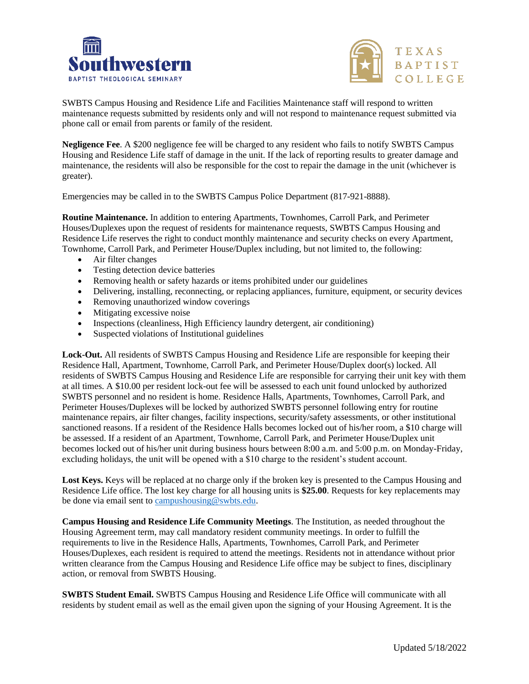



SWBTS Campus Housing and Residence Life and Facilities Maintenance staff will respond to written maintenance requests submitted by residents only and will not respond to maintenance request submitted via phone call or email from parents or family of the resident.

**Negligence Fee**. A \$200 negligence fee will be charged to any resident who fails to notify SWBTS Campus Housing and Residence Life staff of damage in the unit. If the lack of reporting results to greater damage and maintenance, the residents will also be responsible for the cost to repair the damage in the unit (whichever is greater).

Emergencies may be called in to the SWBTS Campus Police Department (817-921-8888).

**Routine Maintenance.** In addition to entering Apartments, Townhomes, Carroll Park, and Perimeter Houses/Duplexes upon the request of residents for maintenance requests, SWBTS Campus Housing and Residence Life reserves the right to conduct monthly maintenance and security checks on every Apartment, Townhome, Carroll Park, and Perimeter House/Duplex including, but not limited to, the following:

- Air filter changes
- Testing detection device batteries
- Removing health or safety hazards or items prohibited under our guidelines
- Delivering, installing, reconnecting, or replacing appliances, furniture, equipment, or security devices
- Removing unauthorized window coverings
- Mitigating excessive noise
- Inspections (cleanliness, High Efficiency laundry detergent, air conditioning)
- Suspected violations of Institutional guidelines

**Lock-Out.** All residents of SWBTS Campus Housing and Residence Life are responsible for keeping their Residence Hall, Apartment, Townhome, Carroll Park, and Perimeter House/Duplex door(s) locked. All residents of SWBTS Campus Housing and Residence Life are responsible for carrying their unit key with them at all times. A \$10.00 per resident lock-out fee will be assessed to each unit found unlocked by authorized SWBTS personnel and no resident is home. Residence Halls, Apartments, Townhomes, Carroll Park, and Perimeter Houses/Duplexes will be locked by authorized SWBTS personnel following entry for routine maintenance repairs, air filter changes, facility inspections, security/safety assessments, or other institutional sanctioned reasons. If a resident of the Residence Halls becomes locked out of his/her room, a \$10 charge will be assessed. If a resident of an Apartment, Townhome, Carroll Park, and Perimeter House/Duplex unit becomes locked out of his/her unit during business hours between 8:00 a.m. and 5:00 p.m. on Monday-Friday, excluding holidays, the unit will be opened with a \$10 charge to the resident's student account.

**Lost Keys.** Keys will be replaced at no charge only if the broken key is presented to the Campus Housing and Residence Life office. The lost key charge for all housing units is **\$25.00**. Requests for key replacements may be done via email sent to [campushousing@swbts.edu.](mailto:campushousing@swbts.edu)

**Campus Housing and Residence Life Community Meetings**. The Institution, as needed throughout the Housing Agreement term, may call mandatory resident community meetings. In order to fulfill the requirements to live in the Residence Halls, Apartments, Townhomes, Carroll Park, and Perimeter Houses/Duplexes, each resident is required to attend the meetings. Residents not in attendance without prior written clearance from the Campus Housing and Residence Life office may be subject to fines, disciplinary action, or removal from SWBTS Housing.

**SWBTS Student Email.** SWBTS Campus Housing and Residence Life Office will communicate with all residents by student email as well as the email given upon the signing of your Housing Agreement. It is the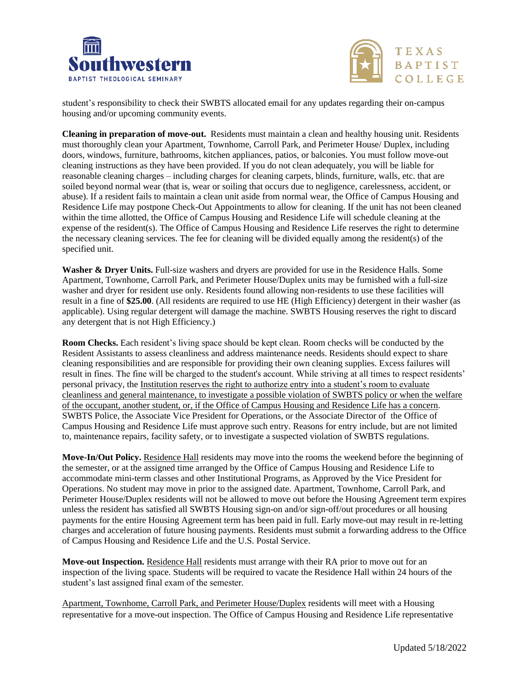



student's responsibility to check their SWBTS allocated email for any updates regarding their on-campus housing and/or upcoming community events.

**Cleaning in preparation of move-out.** Residents must maintain a clean and healthy housing unit. Residents must thoroughly clean your Apartment, Townhome, Carroll Park, and Perimeter House/ Duplex, including doors, windows, furniture, bathrooms, kitchen appliances, patios, or balconies. You must follow move-out cleaning instructions as they have been provided. If you do not clean adequately, you will be liable for reasonable cleaning charges – including charges for cleaning carpets, blinds, furniture, walls, etc. that are soiled beyond normal wear (that is, wear or soiling that occurs due to negligence, carelessness, accident, or abuse). If a resident fails to maintain a clean unit aside from normal wear, the Office of Campus Housing and Residence Life may postpone Check-Out Appointments to allow for cleaning. If the unit has not been cleaned within the time allotted, the Office of Campus Housing and Residence Life will schedule cleaning at the expense of the resident(s). The Office of Campus Housing and Residence Life reserves the right to determine the necessary cleaning services. The fee for cleaning will be divided equally among the resident(s) of the specified unit.

Washer & Dryer Units. Full-size washers and dryers are provided for use in the Residence Halls. Some Apartment, Townhome, Carroll Park, and Perimeter House/Duplex units may be furnished with a full-size washer and dryer for resident use only. Residents found allowing non-residents to use these facilities will result in a fine of **\$25.00**. (All residents are required to use HE (High Efficiency) detergent in their washer (as applicable). Using regular detergent will damage the machine. SWBTS Housing reserves the right to discard any detergent that is not High Efficiency.)

**Room Checks.** Each resident's living space should be kept clean. Room checks will be conducted by the Resident Assistants to assess cleanliness and address maintenance needs. Residents should expect to share cleaning responsibilities and are responsible for providing their own cleaning supplies. Excess failures will result in fines. The fine will be charged to the student's account. While striving at all times to respect residents' personal privacy, the Institution reserves the right to authorize entry into a student's room to evaluate cleanliness and general maintenance, to investigate a possible violation of SWBTS policy or when the welfare of the occupant, another student, or, if the Office of Campus Housing and Residence Life has a concern. SWBTS Police, the Associate Vice President for Operations, or the Associate Director of the Office of Campus Housing and Residence Life must approve such entry. Reasons for entry include, but are not limited to, maintenance repairs, facility safety, or to investigate a suspected violation of SWBTS regulations.

**Move-In/Out Policy.** Residence Hall residents may move into the rooms the weekend before the beginning of the semester, or at the assigned time arranged by the Office of Campus Housing and Residence Life to accommodate mini-term classes and other Institutional Programs, as Approved by the Vice President for Operations. No student may move in prior to the assigned date. Apartment, Townhome, Carroll Park, and Perimeter House/Duplex residents will not be allowed to move out before the Housing Agreement term expires unless the resident has satisfied all SWBTS Housing sign-on and/or sign-off/out procedures or all housing payments for the entire Housing Agreement term has been paid in full. Early move-out may result in re-letting charges and acceleration of future housing payments. Residents must submit a forwarding address to the Office of Campus Housing and Residence Life and the U.S. Postal Service.

**Move-out Inspection.** Residence Hall residents must arrange with their RA prior to move out for an inspection of the living space. Students will be required to vacate the Residence Hall within 24 hours of the student's last assigned final exam of the semester.

Apartment, Townhome, Carroll Park, and Perimeter House/Duplex residents will meet with a Housing representative for a move-out inspection. The Office of Campus Housing and Residence Life representative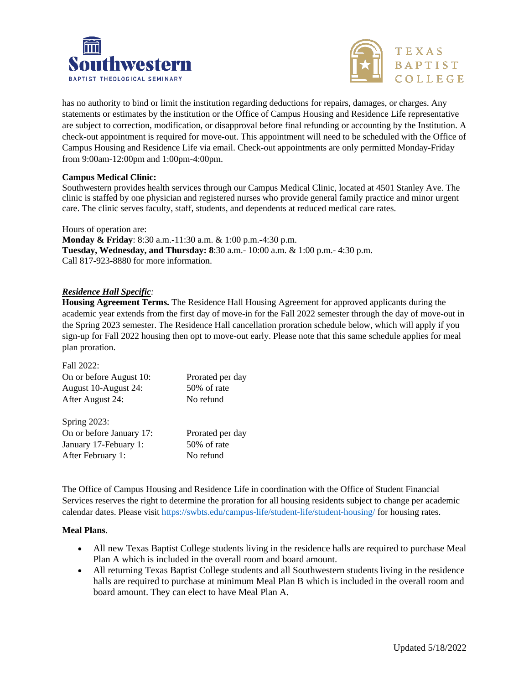



has no authority to bind or limit the institution regarding deductions for repairs, damages, or charges. Any statements or estimates by the institution or the Office of Campus Housing and Residence Life representative are subject to correction, modification, or disapproval before final refunding or accounting by the Institution. A check-out appointment is required for move-out. This appointment will need to be scheduled with the Office of Campus Housing and Residence Life via email. Check-out appointments are only permitted Monday-Friday from 9:00am-12:00pm and 1:00pm-4:00pm.

## **Campus Medical Clinic:**

Southwestern provides health services through our Campus Medical Clinic, located at 4501 Stanley Ave. The clinic is staffed by one physician and registered nurses who provide general family practice and minor urgent care. The clinic serves faculty, staff, students, and dependents at reduced medical care rates.

Hours of operation are:

**Monday & Friday**: 8:30 a.m.-11:30 a.m. & 1:00 p.m.-4:30 p.m. **Tuesday, Wednesday, and Thursday: 8**:30 a.m.- 10:00 a.m. & 1:00 p.m.- 4:30 p.m. Call 817-923-8880 for more information.

## *Residence Hall Specific:*

**Housing Agreement Terms.** The Residence Hall Housing Agreement for approved applicants during the academic year extends from the first day of move-in for the Fall 2022 semester through the day of move-out in the Spring 2023 semester. The Residence Hall cancellation proration schedule below, which will apply if you sign-up for Fall 2022 housing then opt to move-out early. Please note that this same schedule applies for meal plan proration.

| Fall 2022:               |                  |
|--------------------------|------------------|
| On or before August 10:  | Prorated per day |
| August 10-August 24:     | 50% of rate      |
| After August 24:         | No refund        |
|                          |                  |
| <b>Spring 2023:</b>      |                  |
| On or before January 17: | Prorated per day |
| January 17-Febuary 1:    | 50% of rate      |
| After February 1:        | No refund        |
|                          |                  |

The Office of Campus Housing and Residence Life in coordination with the Office of Student Financial Services reserves the right to determine the proration for all housing residents subject to change per academic calendar dates. Please visit<https://swbts.edu/campus-life/student-life/student-housing/> for housing rates.

#### **Meal Plans**.

- All new Texas Baptist College students living in the residence halls are required to purchase Meal Plan A which is included in the overall room and board amount.
- All returning Texas Baptist College students and all Southwestern students living in the residence halls are required to purchase at minimum Meal Plan B which is included in the overall room and board amount. They can elect to have Meal Plan A.